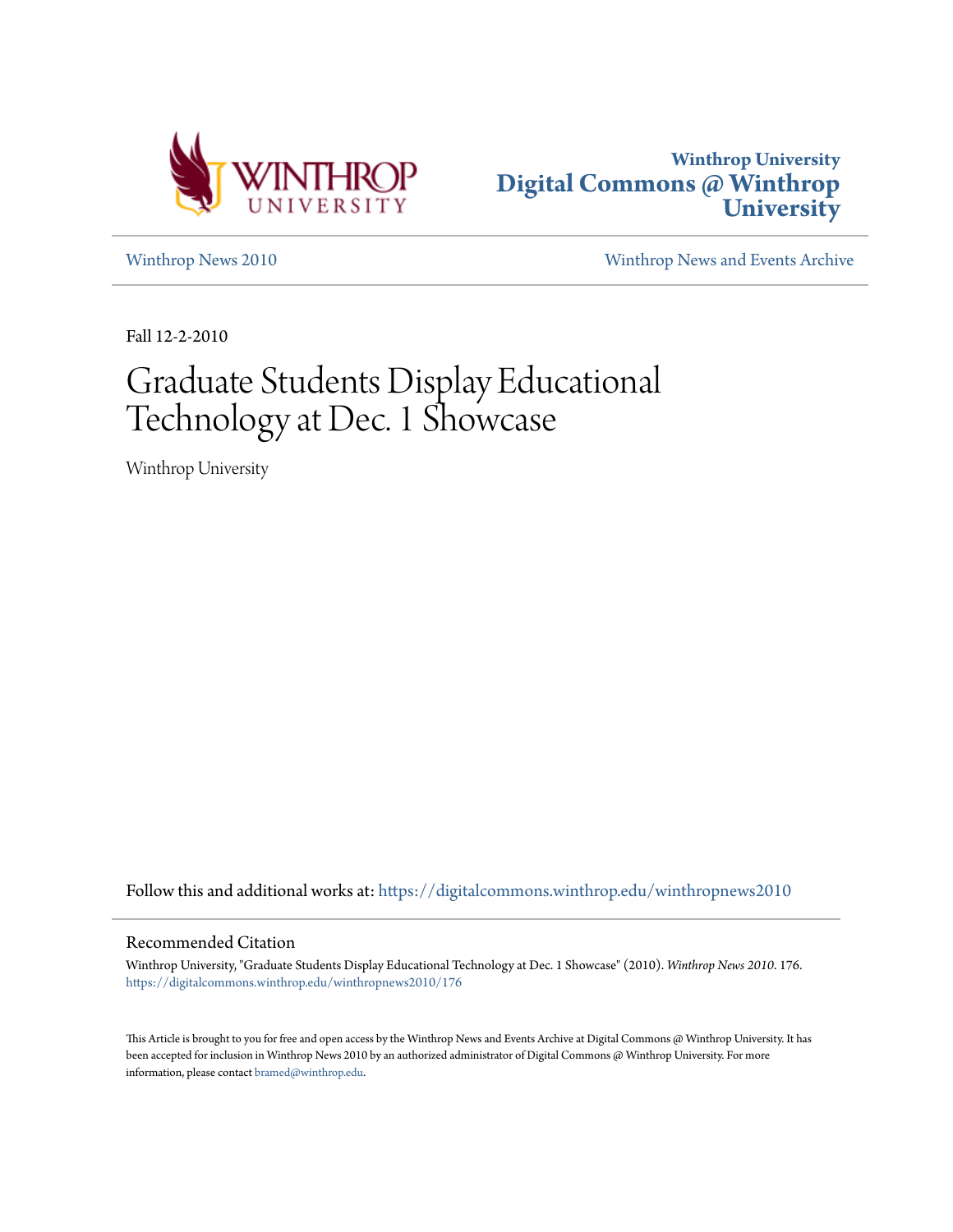



[Winthrop News 2010](https://digitalcommons.winthrop.edu/winthropnews2010?utm_source=digitalcommons.winthrop.edu%2Fwinthropnews2010%2F176&utm_medium=PDF&utm_campaign=PDFCoverPages) [Winthrop News and Events Archive](https://digitalcommons.winthrop.edu/winthropnewsarchives?utm_source=digitalcommons.winthrop.edu%2Fwinthropnews2010%2F176&utm_medium=PDF&utm_campaign=PDFCoverPages)

Fall 12-2-2010

# Graduate Students Display Educational Technology at Dec. 1 Showcase

Winthrop University

Follow this and additional works at: [https://digitalcommons.winthrop.edu/winthropnews2010](https://digitalcommons.winthrop.edu/winthropnews2010?utm_source=digitalcommons.winthrop.edu%2Fwinthropnews2010%2F176&utm_medium=PDF&utm_campaign=PDFCoverPages)

### Recommended Citation

Winthrop University, "Graduate Students Display Educational Technology at Dec. 1 Showcase" (2010). *Winthrop News 2010*. 176. [https://digitalcommons.winthrop.edu/winthropnews2010/176](https://digitalcommons.winthrop.edu/winthropnews2010/176?utm_source=digitalcommons.winthrop.edu%2Fwinthropnews2010%2F176&utm_medium=PDF&utm_campaign=PDFCoverPages)

This Article is brought to you for free and open access by the Winthrop News and Events Archive at Digital Commons @ Winthrop University. It has been accepted for inclusion in Winthrop News 2010 by an authorized administrator of Digital Commons @ Winthrop University. For more information, please contact [bramed@winthrop.edu](mailto:bramed@winthrop.edu).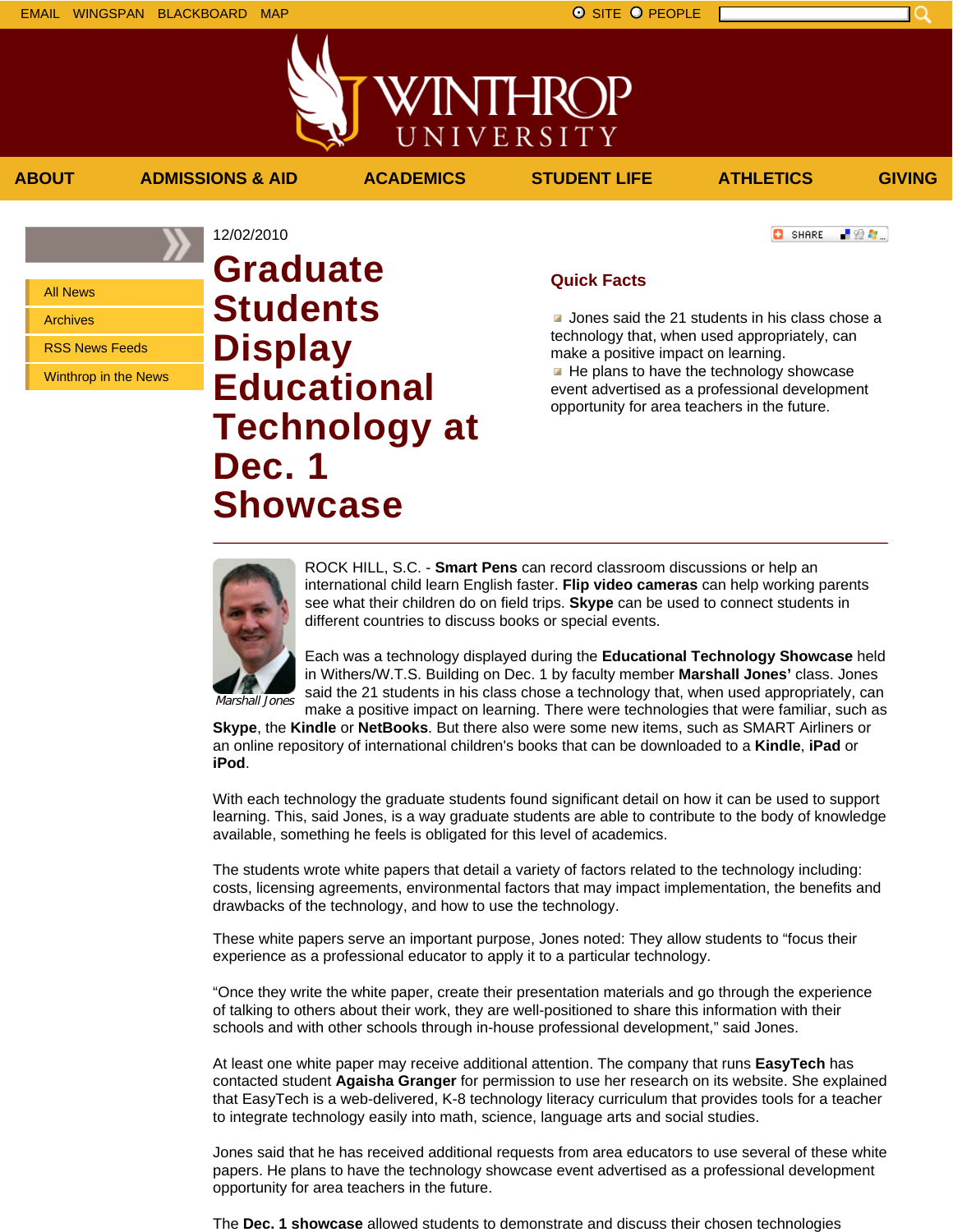上没有。

**C** SHARE

All News

Archives

RSS News Feeds

Winthrop in the News

## 12/02/2010 **Graduate Students Display Educational Technology at Dec. 1 Showcase**

## **Quick Facts**

**Jones said the 21 students in his class chose a** technology that, when used appropriately, can make a positive impact on learning.

 $\blacksquare$  He plans to have the technology showcase event advertised as a professional development opportunity for area teachers in the future.



ROCK HILL, S.C. - **Smart Pens** can record classroom discussions or help an international child learn English faster. **Flip video cameras** can help working parents see what their children do on field trips. **Skype** can be used to connect students in different countries to discuss books or special events.

Each was a technology displayed during the **Educational Technology Showcase** held in Withers/W.T.S. Building on Dec. 1 by faculty member **Marshall Jones'** class. Jones said the 21 students in his class chose a technology that, when used appropriately, can

Marshall Jones

make a positive impact on learning. There were technologies that were familiar, such as **Skype**, the **Kindle** or **NetBooks**. But there also were some new items, such as SMART Airliners or an online repository of international children's books that can be downloaded to a **Kindle**, **iPad** or **iPod**.

With each technology the graduate students found significant detail on how it can be used to support learning. This, said Jones, is a way graduate students are able to contribute to the body of knowledge available, something he feels is obligated for this level of academics.

The students wrote white papers that detail a variety of factors related to the technology including: costs, licensing agreements, environmental factors that may impact implementation, the benefits and drawbacks of the technology, and how to use the technology.

These white papers serve an important purpose, Jones noted: They allow students to "focus their experience as a professional educator to apply it to a particular technology.

"Once they write the white paper, create their presentation materials and go through the experience of talking to others about their work, they are well-positioned to share this information with their schools and with other schools through in-house professional development," said Jones.

At least one white paper may receive additional attention. The company that runs **EasyTech** has contacted student **Agaisha Granger** for permission to use her research on its website. She explained that EasyTech is a web-delivered, K-8 technology literacy curriculum that provides tools for a teacher to integrate technology easily into math, science, language arts and social studies.

Jones said that he has received additional requests from area educators to use several of these white papers. He plans to have the technology showcase event advertised as a professional development opportunity for area teachers in the future.

The **Dec. 1 showcase** allowed students to demonstrate and discuss their chosen technologies

**ABOUT ADMISSIONS & AID ACADEMICS STUDENT LIFE ATHLETICS GIVING**

WINTHROP

UNIVERSITY